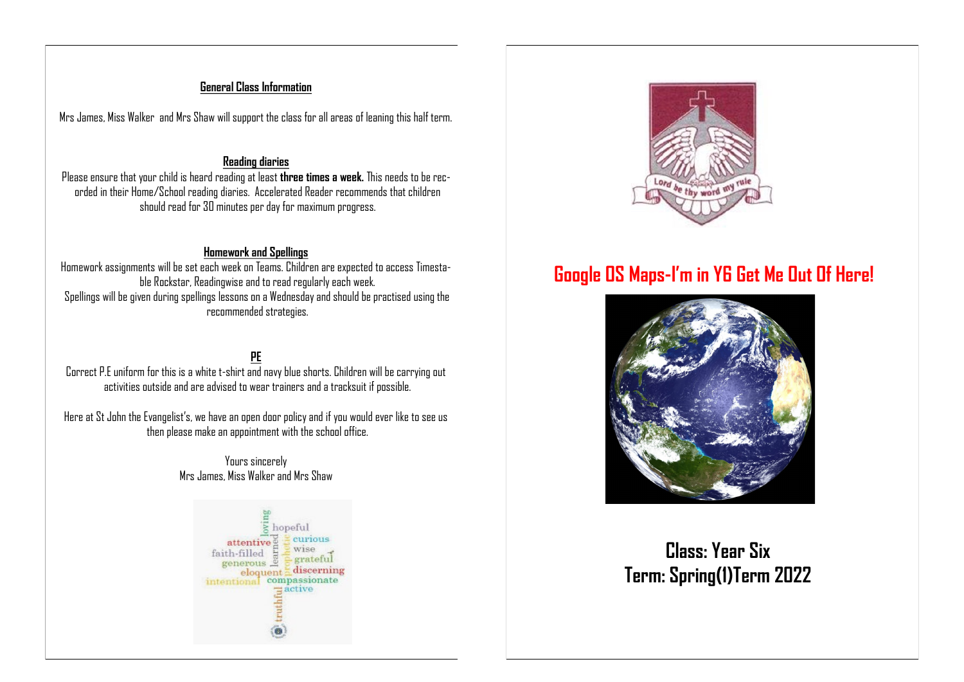#### **General Class Information**

Mrs James, Miss Walker and Mrs Shaw will support the class for all areas of leaning this half term.

#### **Reading diaries**

Please ensure that your child is heard reading at least **three times a week.** This needs to be recorded in their Home/School reading diaries. Accelerated Reader recommends that children should read for 30 minutes per day for maximum progress.

#### **Homework and Spellings**

Homework assignments will be set each week on Teams. Children are expected to access Timestable Rockstar, Readingwise and to read regularly each week. Spellings will be given during spellings lessons on a Wednesday and should be practised using the recommended strategies.

#### **PE** Correct P.E uniform for this is a white t-shirt and navy blue shorts. Children will be carrying out activities outside and are advised to wear trainers and a tracksuit if possible.

Here at St John the Evangelist's, we have an open door policy and if you would ever like to see us then please make an appointment with the school office.

#### Yours sincerely Mrs James, Miss Walker and Mrs Shaw





# **Google OS Maps-I'm in Y6 Get Me Out Of Here!**



# **Class: Year Six Term: Spring(1)Term 2022**